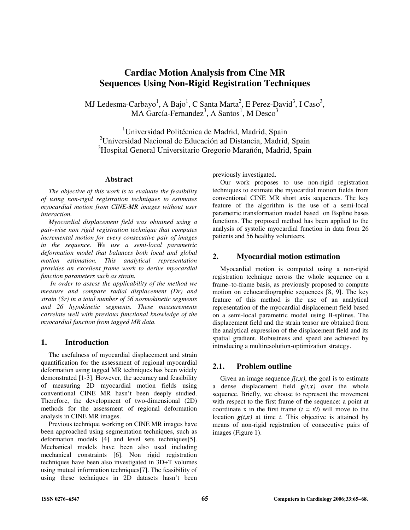# **Cardiac Motion Analysis from Cine MR Sequences Using Non-Rigid Registration Techniques**

MJ Ledesma-Carbayo<sup>1</sup>, A Bajo<sup>1</sup>, C Santa Marta<sup>2</sup>, E Perez-David<sup>3</sup>, I Caso<sup>3</sup>, MA García-Fernandez $^3$ , A Santos<sup>1</sup>, M Desco<sup>3</sup>

<sup>1</sup>Universidad Politécnica de Madrid, Madrid, Spain <sup>2</sup>Universidad Nacional de Educación ad Distancia, Madrid, Spain <sup>3</sup>Hospital General Universitario Gregorio Marañón, Madrid, Spain

#### **Abstract**

*The objective of this work is to evaluate the feasibility of using non-rigid registration techniques to estimates myocardial motion from CINE-MR images without user interaction.* 

*Myocardial displacement field was obtained using a pair-wise non rigid registration technique that computes incremental motion for every consecutive pair of images in the sequence. We use a semi-local parametric deformation model that balances both local and global motion estimation. This analytical representation provides an excellent frame work to derive myocardial function parameters such as strain.* 

 *In order to assess the applicability of the method we measure and compare radial displacement (Dr) and strain (Sr) in a total number of 56 normokinetic segments and 26 hypokinetic segments. These measurements correlate well with previous functional knowledge of the myocardial function from tagged MR data.* 

# **1. Introduction**

The usefulness of myocardial displacement and strain quantification for the assessment of regional myocardial deformation using tagged MR techniques has been widely demonstrated [1-3]. However, the accuracy and feasibility of measuring 2D myocardial motion fields using conventional CINE MR hasn't been deeply studied. Therefore, the development of two-dimensional (2D) methods for the assessment of regional deformation analysis in CINE MR images.

Previous technique working on CINE MR images have been approached using segmentation techniques, such as deformation models [4] and level sets techniques[5]. Mechanical models have been also used including mechanical constraints [6]. Non rigid registration techniques have been also investigated in 3D+T volumes using mutual information techniques[7]. The feasibility of using these techniques in 2D datasets hasn't been

previously investigated.

Our work proposes to use non-rigid registration techniques to estimate the myocardial motion fields from conventional CINE MR short axis sequences. The key feature of the algorithm is the use of a semi-local parametric transformation model based on Bspline bases functions. The proposed method has been applied to the analysis of systolic myocardial function in data from 26 patients and 56 healthy volunteers.

### **2. Myocardial motion estimation**

Myocardial motion is computed using a non-rigid registration technique across the whole sequence on a frame–to-frame basis, as previously proposed to compute motion on echocardiographic sequences [8, 9]. The key feature of this method is the use of an analytical representation of the myocardial displacement field based on a semi-local parametric model using B-splines. The displacement field and the strain tensor are obtained from the analytical expression of the displacement field and its spatial gradient. Robustness and speed are achieved by introducing a multiresolution-optimization strategy.

# **2.1. Problem outline**

Given an image sequence  $f(t, x)$ , the goal is to estimate a dense displacement field  $g(t,x)$  over the whole sequence. Briefly, we choose to represent the movement with respect to the first frame of the sequence: a point at coordinate x in the first frame  $(t = t0)$  will move to the location  $g(t,x)$  at time *t*. This objective is attained by means of non-rigid registration of consecutive pairs of images (Figure 1).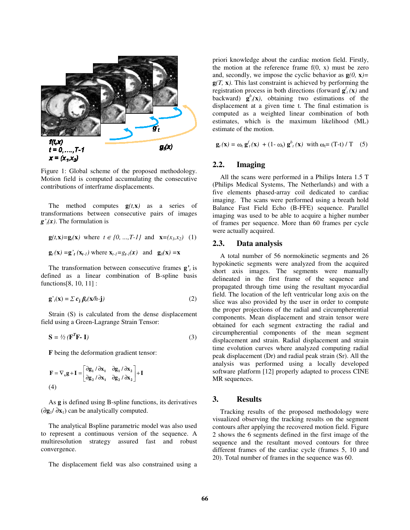

Figure 1: Global scheme of the proposed methodology. Motion field is computed accumulating the consecutive contributions of interframe displacements.

The method computes  $g(t, x)$  as a series of transformations between consecutive pairs of images  $g'$ <sub>*t*</sub> $(x)$ *.* The formulation is

**g** $(t, \mathbf{x}) = \mathbf{g}_t(\mathbf{x})$  where  $t \in \{0, ..., T-1\}$  and  $\mathbf{x} = (x_1, x_2)$  (1)

 $\mathbf{g}_t(\mathbf{x}) = \mathbf{g}'_t(\mathbf{x}_{t-1})$  where  $\mathbf{x}_{t-1} = g_{t-1}(\mathbf{x})$  and  $\mathbf{g}_0(\mathbf{x}) = \mathbf{x}$ 

The transformation between consecutive frames  $\mathbf{g}'$ *t* is defined as a linear combination of B-spline basis functions[8, 10, 11] :

$$
\mathbf{g'}_{t}(\mathbf{x}) = \sum c_{\mathbf{j}} \beta_{t}(\mathbf{x}/h \cdot \mathbf{j})
$$
 (2)

Strain (S) is calculated from the dense displacement field using a Green-Lagrange Strain Tensor:

$$
\mathbf{S} = \frac{1}{2} \left( \mathbf{F}^T \mathbf{F} \cdot \mathbf{I} \right) \tag{3}
$$

**F** being the deformation gradient tensor:

$$
\mathbf{F} = \nabla_{\mathbf{x}} \mathbf{g} + \mathbf{I} = \begin{bmatrix} \partial \mathbf{g}_1 / \partial \mathbf{x}_1 & \partial \mathbf{g}_1 / \partial \mathbf{x}_2 \\ \partial \mathbf{g}_2 / \partial \mathbf{x}_1 & \partial \mathbf{g}_2 / \partial \mathbf{x}_2 \end{bmatrix} + \mathbf{I}
$$
\n(4)

As **g** is defined using B-spline functions, its derivatives (∂**g**1/ ∂**x**1) can be analytically computed.

The analytical Bspline parametric model was also used to represent a continuous version of the sequence. A multiresolution strategy assured fast and robust convergence.

The displacement field was also constrained using a

priori knowledge about the cardiac motion field. Firstly, the motion at the reference frame  $f(0, x)$  must be zero and, secondly, we impose the cyclic behavior as  $g(0, x)$ = **g***(T,* **x***)*. This last constraint is achieved by performing the registration process in both directions (forward  $g_t^f(x)$  and backward)  $\mathbf{g}^b_{\ }(\mathbf{x})$ , obtaining two estimations of the displacement at a given time t. The final estimation is computed as a weighted linear combination of both estimates, which is the maximum likelihood (ML) estimate of the motion.

$$
\mathbf{g}_t(\mathbf{x}) = \omega_t \, \mathbf{g}_t^f(\mathbf{x}) \, + (1 - \omega_t) \, \mathbf{g}_t^b(\mathbf{x}) \quad \text{with } \omega_t = (T - t) / T \quad (5)
$$

#### **2.2. Imaging**

All the scans were performed in a Philips Intera 1.5 T (Philips Medical Systems, The Netherlands) and with a five elements phased-array coil dedicated to cardiac imaging. The scans were performed using a breath hold Balance Fast Field Echo (B-FFE) sequence. Parallel imaging was used to be able to acquire a higher number of frames per sequence. More than 60 frames per cycle were actually acquired.

# **2.3. Data analysis**

A total number of 56 normokinetic segments and 26 hypokinetic segments were analyzed from the acquired short axis images. The segments were manually delineated in the first frame of the sequence and propagated through time using the resultant myocardial field. The location of the left ventricular long axis on the slice was also provided by the user in order to compute the proper projections of the radial and circumpherential components. Mean displacement and strain tensor were obtained for each segment extracting the radial and circumpherential components of the mean segment displacement and strain. Radial displacement and strain time evolution curves where analyzed computing radial peak displacement (Dr) and radial peak strain (Sr). All the analysis was performed using a locally developed software platform [12] properly adapted to process CINE MR sequences.

#### **3. Results**

Tracking results of the proposed methodology were visualized observing the tracking results on the segment contours after applying the recovered motion field. Figure 2 shows the 6 segments defined in the first image of the sequence and the resultant moved contours for three different frames of the cardiac cycle (frames 5, 10 and 20). Total number of frames in the sequence was 60.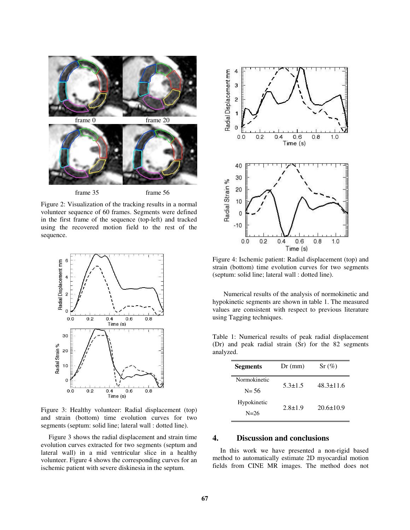

Figure 2: Visualization of the tracking results in a normal volunteer sequence of 60 frames. Segments were defined in the first frame of the sequence (top-left) and tracked using the recovered motion field to the rest of the sequence.



Figure 3: Healthy volunteer: Radial displacement (top) and strain (bottom) time evolution curves for two segments (septum: solid line; lateral wall : dotted line).

Figure 3 shows the radial displacement and strain time evolution curves extracted for two segments (septum and lateral wall) in a mid ventricular slice in a healthy volunteer. Figure 4 shows the corresponding curves for an ischemic patient with severe diskinesia in the septum.



Figure 4: Ischemic patient: Radial displacement (top) and strain (bottom) time evolution curves for two segments (septum: solid line; lateral wall : dotted line).

 Numerical results of the analysis of normokinetic and hypokinetic segments are shown in table 1. The measured values are consistent with respect to previous literature using Tagging techniques.

Table 1: Numerical results of peak radial displacement (Dr) and peak radial strain (Sr) for the 82 segments analyzed.

| <b>Segments</b> | $Dr$ (mm)     | Sr (%)          |
|-----------------|---------------|-----------------|
| Normokinetic    | $5.3 \pm 1.5$ | $48.3 \pm 11.6$ |
| $N = 56$        |               |                 |
| Hypokinetic     | $2.8 \pm 1.9$ | $20.6 \pm 10.9$ |
| $N = 26$        |               |                 |

# **4. Discussion and conclusions**

In this work we have presented a non-rigid based method to automatically estimate 2D myocardial motion fields from CINE MR images. The method does not